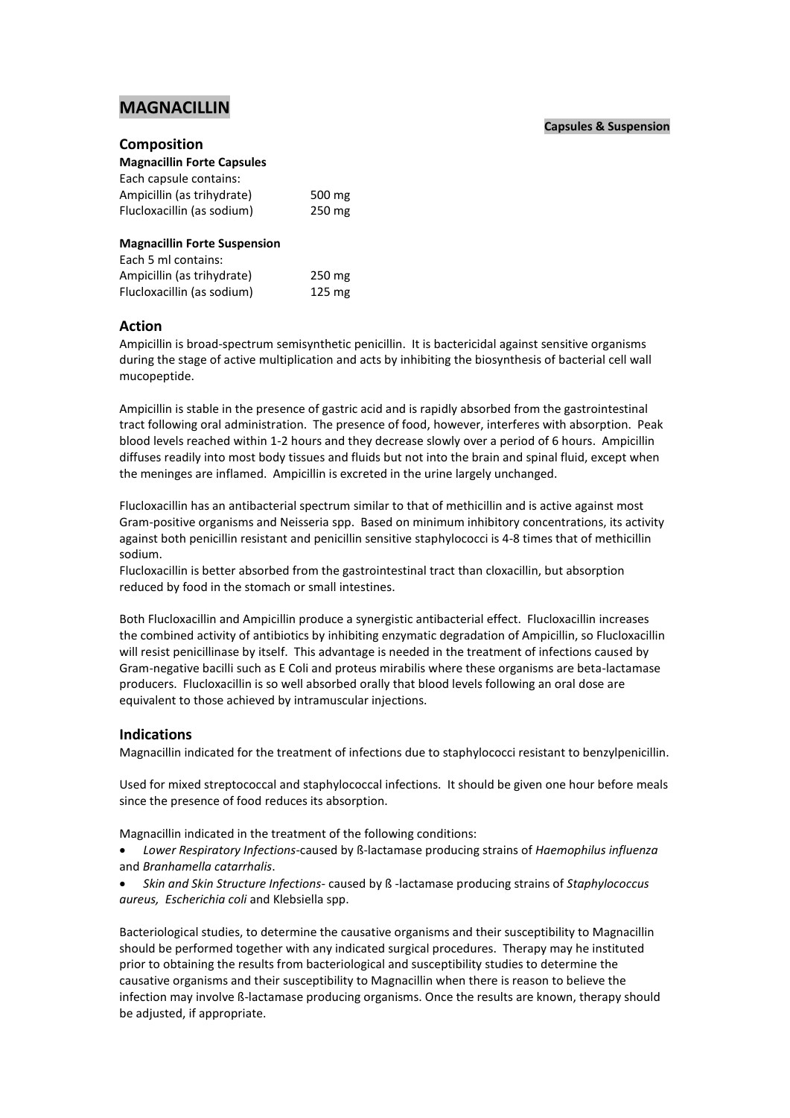# **MAGNACILLIN**

## **Composition**

| <b>Magnacillin Forte Capsules</b>   |        |
|-------------------------------------|--------|
| Each capsule contains:              |        |
| Ampicillin (as trihydrate)          | 500 mg |
| Flucloxacillin (as sodium)          | 250 mg |
|                                     |        |
| <b>Magnacillin Forte Suspension</b> |        |
| Each 5 ml contains:                 |        |
| Ampicillin (as trihydrate)          | 250 mg |
| Flucloxacillin (as sodium)          | 125 mg |

## **Action**

Ampicillin is broad-spectrum semisynthetic penicillin. It is bactericidal against sensitive organisms during the stage of active multiplication and acts by inhibiting the biosynthesis of bacterial cell wall mucopeptide.

Ampicillin is stable in the presence of gastric acid and is rapidly absorbed from the gastrointestinal tract following oral administration. The presence of food, however, interferes with absorption. Peak blood levels reached within 1-2 hours and they decrease slowly over a period of 6 hours. Ampicillin diffuses readily into most body tissues and fluids but not into the brain and spinal fluid, except when the meninges are inflamed. Ampicillin is excreted in the urine largely unchanged.

Flucloxacillin has an antibacterial spectrum similar to that of methicillin and is active against most Gram-positive organisms and Neisseria spp. Based on minimum inhibitory concentrations, its activity against both penicillin resistant and penicillin sensitive staphylococci is 4-8 times that of methicillin sodium.

Flucloxacillin is better absorbed from the gastrointestinal tract than cloxacillin, but absorption reduced by food in the stomach or small intestines.

Both Flucloxacillin and Ampicillin produce a synergistic antibacterial effect. Flucloxacillin increases the combined activity of antibiotics by inhibiting enzymatic degradation of Ampicillin, so Flucloxacillin will resist penicillinase by itself. This advantage is needed in the treatment of infections caused by Gram-negative bacilli such as E Coli and proteus mirabilis where these organisms are beta-lactamase producers. Flucloxacillin is so well absorbed orally that blood levels following an oral dose are equivalent to those achieved by intramuscular injections.

## **Indications**

Magnacillin indicated for the treatment of infections due to staphylococci resistant to benzylpenicillin.

Used for mixed streptococcal and staphylococcal infections. It should be given one hour before meals since the presence of food reduces its absorption.

Magnacillin indicated in the treatment of the following conditions:

- *Lower Respiratory Infections*-caused by ß-lactamase producing strains of *Haemophilus influenza* and *Branhamella catarrhalis*.
- *Skin and Skin Structure Infections-* caused by ß -lactamase producing strains of *Staphylococcus aureus, Escherichia coli* and Klebsiella spp.

Bacteriological studies, to determine the causative organisms and their susceptibility to Magnacillin should be performed together with any indicated surgical procedures. Therapy may he instituted prior to obtaining the results from bacteriological and susceptibility studies to determine the causative organisms and their susceptibility to Magnacillin when there is reason to believe the infection may involve ß-lactamase producing organisms. Once the results are known, therapy should be adjusted, if appropriate.

## **Capsules & Suspension**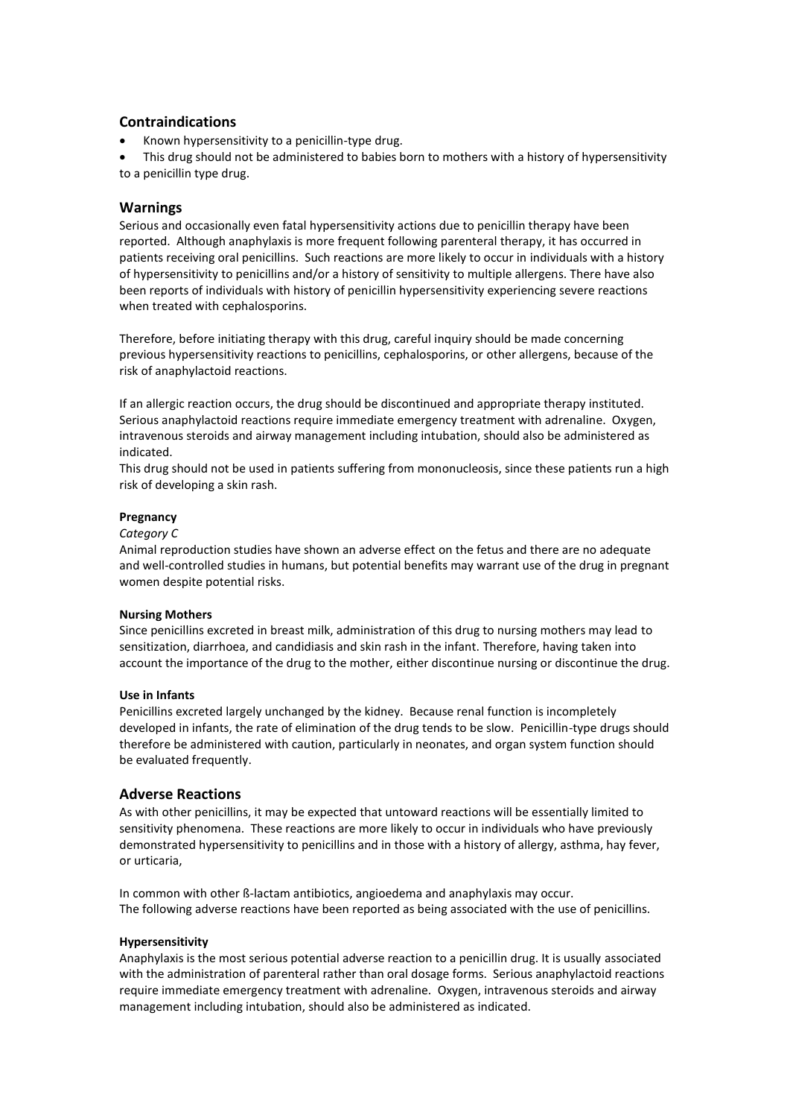## **Contraindications**

- Known hypersensitivity to a penicillin-type drug.
- This drug should not be administered to babies born to mothers with a history of hypersensitivity to a penicillin type drug.

## **Warnings**

Serious and occasionally even fatal hypersensitivity actions due to penicillin therapy have been reported. Although anaphylaxis is more frequent following parenteral therapy, it has occurred in patients receiving oral penicillins. Such reactions are more likely to occur in individuals with a history of hypersensitivity to penicillins and/or a history of sensitivity to multiple allergens. There have also been reports of individuals with history of penicillin hypersensitivity experiencing severe reactions when treated with cephalosporins.

Therefore, before initiating therapy with this drug, careful inquiry should be made concerning previous hypersensitivity reactions to penicillins, cephalosporins, or other allergens, because of the risk of anaphylactoid reactions.

If an allergic reaction occurs, the drug should be discontinued and appropriate therapy instituted. Serious anaphylactoid reactions require immediate emergency treatment with adrenaline. Oxygen, intravenous steroids and airway management including intubation, should also be administered as indicated.

This drug should not be used in patients suffering from mononucleosis, since these patients run a high risk of developing a skin rash.

### **Pregnancy**

#### *Category C*

Animal reproduction studies have shown an adverse effect on the fetus and there are no adequate and well-controlled studies in humans, but potential benefits may warrant use of the drug in pregnant women despite potential risks.

#### **Nursing Mothers**

Since penicillins excreted in breast milk, administration of this drug to nursing mothers may lead to sensitization, diarrhoea, and candidiasis and skin rash in the infant. Therefore, having taken into account the importance of the drug to the mother, either discontinue nursing or discontinue the drug.

#### **Use in Infants**

Penicillins excreted largely unchanged by the kidney. Because renal function is incompletely developed in infants, the rate of elimination of the drug tends to be slow. Penicillin-type drugs should therefore be administered with caution, particularly in neonates, and organ system function should be evaluated frequently.

## **Adverse Reactions**

As with other penicillins, it may be expected that untoward reactions will be essentially limited to sensitivity phenomena. These reactions are more likely to occur in individuals who have previously demonstrated hypersensitivity to penicillins and in those with a history of allergy, asthma, hay fever, or urticaria,

In common with other ß-lactam antibiotics, angioedema and anaphylaxis may occur. The following adverse reactions have been reported as being associated with the use of penicillins.

## **Hypersensitivity**

Anaphylaxis is the most serious potential adverse reaction to a penicillin drug. It is usually associated with the administration of parenteral rather than oral dosage forms. Serious anaphylactoid reactions require immediate emergency treatment with adrenaline. Oxygen, intravenous steroids and airway management including intubation, should also be administered as indicated.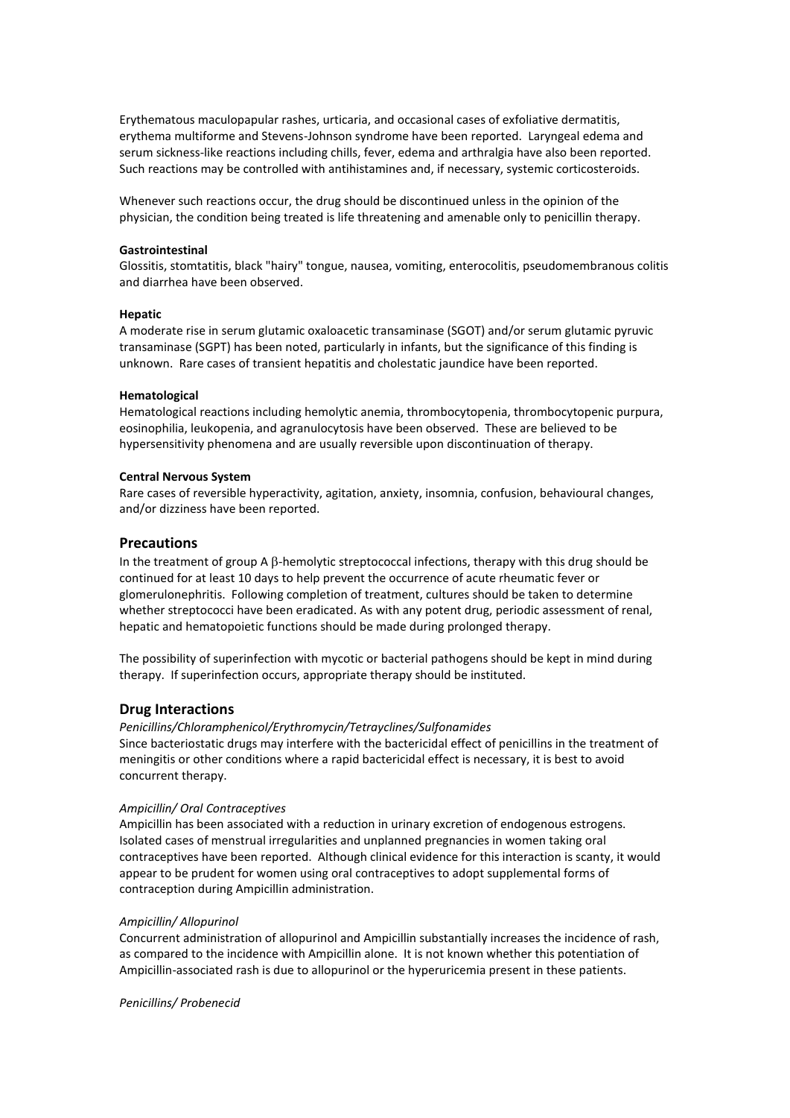Erythematous maculopapular rashes, urticaria, and occasional cases of exfoliative dermatitis, erythema multiforme and Stevens-Johnson syndrome have been reported. Laryngeal edema and serum sickness-like reactions including chills, fever, edema and arthralgia have also been reported. Such reactions may be controlled with antihistamines and, if necessary, systemic corticosteroids.

Whenever such reactions occur, the drug should be discontinued unless in the opinion of the physician, the condition being treated is life threatening and amenable only to penicillin therapy.

#### **Gastrointestinal**

Glossitis, stomtatitis, black "hairy" tongue, nausea, vomiting, enterocolitis, pseudomembranous colitis and diarrhea have been observed.

### **Hepatic**

A moderate rise in serum glutamic oxaloacetic transaminase (SGOT) and/or serum glutamic pyruvic transaminase (SGPT) has been noted, particularly in infants, but the significance of this finding is unknown. Rare cases of transient hepatitis and cholestatic jaundice have been reported.

#### **Hematological**

Hematological reactions including hemolytic anemia, thrombocytopenia, thrombocytopenic purpura, eosinophilia, leukopenia, and agranulocytosis have been observed. These are believed to be hypersensitivity phenomena and are usually reversible upon discontinuation of therapy.

#### **Central Nervous System**

Rare cases of reversible hyperactivity, agitation, anxiety, insomnia, confusion, behavioural changes, and/or dizziness have been reported.

### **Precautions**

In the treatment of group A  $\beta$ -hemolytic streptococcal infections, therapy with this drug should be continued for at least 10 days to help prevent the occurrence of acute rheumatic fever or glomerulonephritis. Following completion of treatment, cultures should be taken to determine whether streptococci have been eradicated. As with any potent drug, periodic assessment of renal, hepatic and hematopoietic functions should be made during prolonged therapy.

The possibility of superinfection with mycotic or bacterial pathogens should be kept in mind during therapy. If superinfection occurs, appropriate therapy should be instituted.

## **Drug Interactions**

*Penicillins/Chloramphenicol/Erythromycin/Tetrayclines/Sulfonamides* Since bacteriostatic drugs may interfere with the bactericidal effect of penicillins in the treatment of meningitis or other conditions where a rapid bactericidal effect is necessary, it is best to avoid concurrent therapy.

#### *Ampicillin/ Oral Contraceptives*

Ampicillin has been associated with a reduction in urinary excretion of endogenous estrogens. Isolated cases of menstrual irregularities and unplanned pregnancies in women taking oral contraceptives have been reported. Although clinical evidence for this interaction is scanty, it would appear to be prudent for women using oral contraceptives to adopt supplemental forms of contraception during Ampicillin administration.

#### *Ampicillin/ Allopurinol*

Concurrent administration of allopurinol and Ampicillin substantially increases the incidence of rash, as compared to the incidence with Ampicillin alone. It is not known whether this potentiation of Ampicillin-associated rash is due to allopurinol or the hyperuricemia present in these patients.

*Penicillins/ Probenecid*